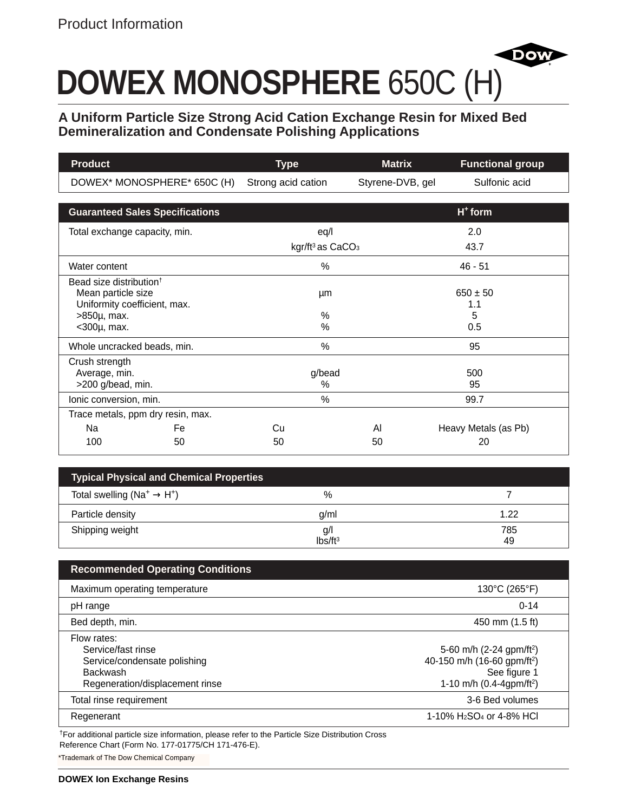# **DOWEX MONOSPHERE** 650C (H)

**A Uniform Particle Size Strong Acid Cation Exchange Resin for Mixed Bed Demineralization and Condensate Polishing Applications**

**Dov** 

| <b>Product</b>                                            | <b>Type</b>                              | <b>Matrix</b>    | <b>Functional group</b> |
|-----------------------------------------------------------|------------------------------------------|------------------|-------------------------|
| DOWEX* MONOSPHERE* 650C (H)                               | Strong acid cation                       | Styrene-DVB, gel | Sulfonic acid           |
|                                                           |                                          |                  |                         |
| <b>Guaranteed Sales Specifications</b>                    |                                          |                  | $H+$ form               |
| Total exchange capacity, min.                             | eq/l                                     |                  | 2.0                     |
|                                                           | kgr/ft <sup>3</sup> as CaCO <sub>3</sub> |                  | 43.7                    |
| Water content                                             | $\%$                                     |                  | $46 - 51$               |
| Bead size distribution <sup>†</sup><br>Mean particle size | μm                                       |                  | $650 \pm 50$            |
| Uniformity coefficient, max.                              |                                          |                  | 1.1                     |
| $>850\mu$ , max.                                          | %                                        |                  | 5                       |
| $<$ 300 $\mu$ , max.                                      | $\%$                                     |                  | 0.5                     |
| Whole uncracked beads, min.                               | $\%$                                     |                  | 95                      |
| Crush strength                                            |                                          |                  |                         |
| Average, min.                                             | g/bead                                   |                  | 500                     |
| >200 g/bead, min.                                         | %                                        |                  | 95                      |
| Ionic conversion, min.                                    | $\%$                                     |                  | 99.7                    |
| Trace metals, ppm dry resin, max.                         |                                          |                  |                         |
| Na<br>Fe.                                                 | Cu                                       | AI               | Heavy Metals (as Pb)    |
| 100<br>50                                                 | 50                                       | 50               | 20                      |

| <b>Typical Physical and Chemical Properties</b>                |                            |           |  |
|----------------------------------------------------------------|----------------------------|-----------|--|
| Total swelling (Na <sup>+</sup> $\rightarrow$ H <sup>+</sup> ) | %                          |           |  |
| Particle density                                               | q/ml                       | 1.22      |  |
| Shipping weight                                                | g/l<br>Ibs/ft <sup>3</sup> | 785<br>49 |  |

| <b>Recommended Operating Conditions</b>                                                                          |                                                                                                                                         |
|------------------------------------------------------------------------------------------------------------------|-----------------------------------------------------------------------------------------------------------------------------------------|
| Maximum operating temperature                                                                                    | 130°C (265°F)                                                                                                                           |
| pH range                                                                                                         | $0 - 14$                                                                                                                                |
| Bed depth, min.                                                                                                  | 450 mm (1.5 ft)                                                                                                                         |
| Flow rates:<br>Service/fast rinse<br>Service/condensate polishing<br>Backwash<br>Regeneration/displacement rinse | 5-60 m/h (2-24 gpm/ft <sup>2</sup> )<br>40-150 m/h (16-60 gpm/ft <sup>2</sup> )<br>See figure 1<br>1-10 m/h (0.4-4gpm/ft <sup>2</sup> ) |
| Total rinse requirement                                                                                          | 3-6 Bed volumes                                                                                                                         |
| Regenerant                                                                                                       | 1-10% H <sub>2</sub> SO <sub>4</sub> or 4-8% HCI                                                                                        |

†For additional particle size information, please refer to the Particle Size Distribution Cross Reference Chart (Form No. 177-01775/CH 171-476-E).

\*Trademark of The Dow Chemical Company